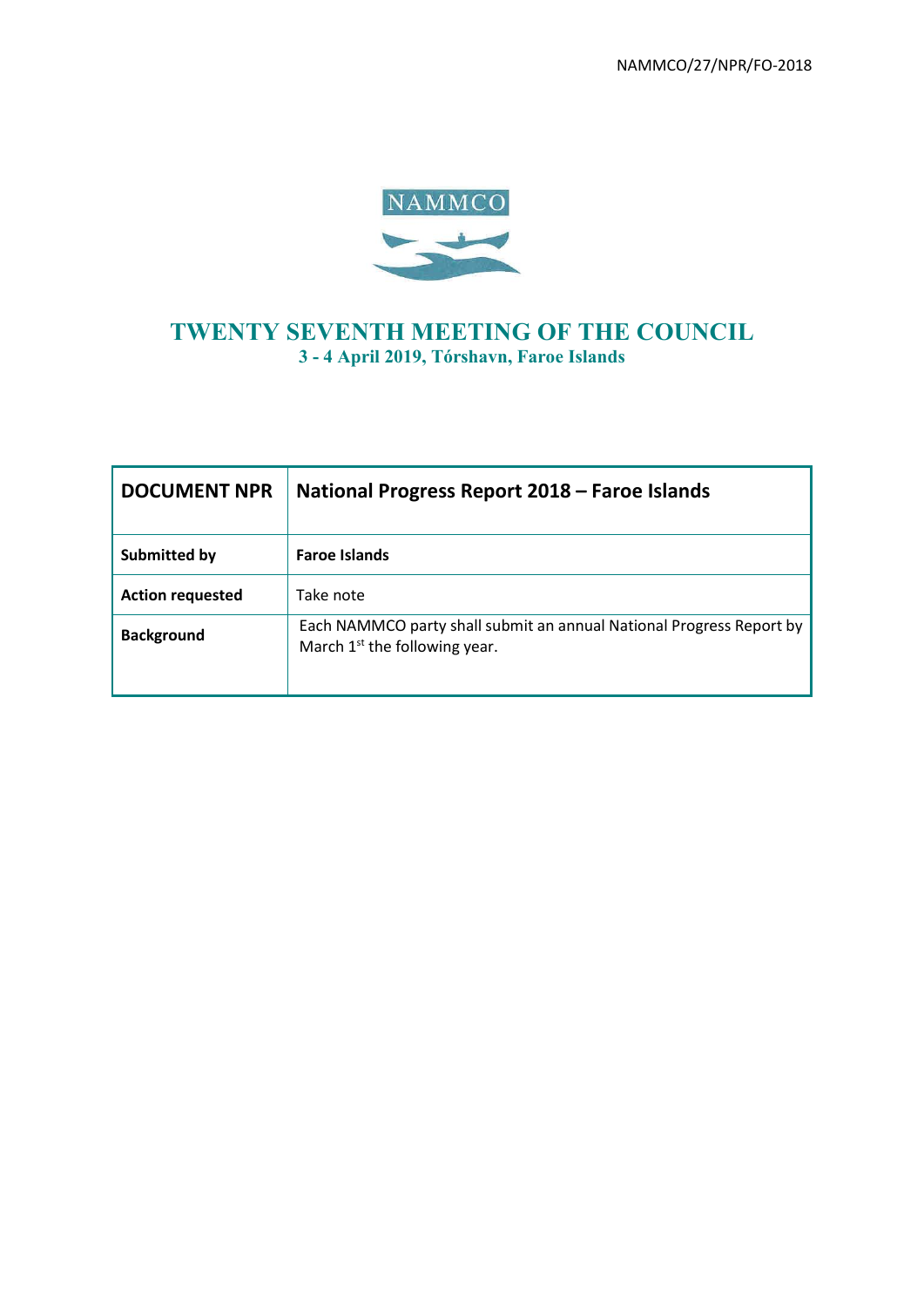NAMMCO/27/NPR/FO-2018



# **TWENTY SEVENTH MEETING OF THE COUNCIL 3 - 4 April 2019, Tórshavn, Faroe Islands**

| <b>DOCUMENT NPR</b>     | National Progress Report 2018 – Faroe Islands                                                           |  |  |
|-------------------------|---------------------------------------------------------------------------------------------------------|--|--|
| Submitted by            | <b>Faroe Islands</b>                                                                                    |  |  |
| <b>Action requested</b> | Take note                                                                                               |  |  |
| <b>Background</b>       | Each NAMMCO party shall submit an annual National Progress Report by<br>March $1st$ the following year. |  |  |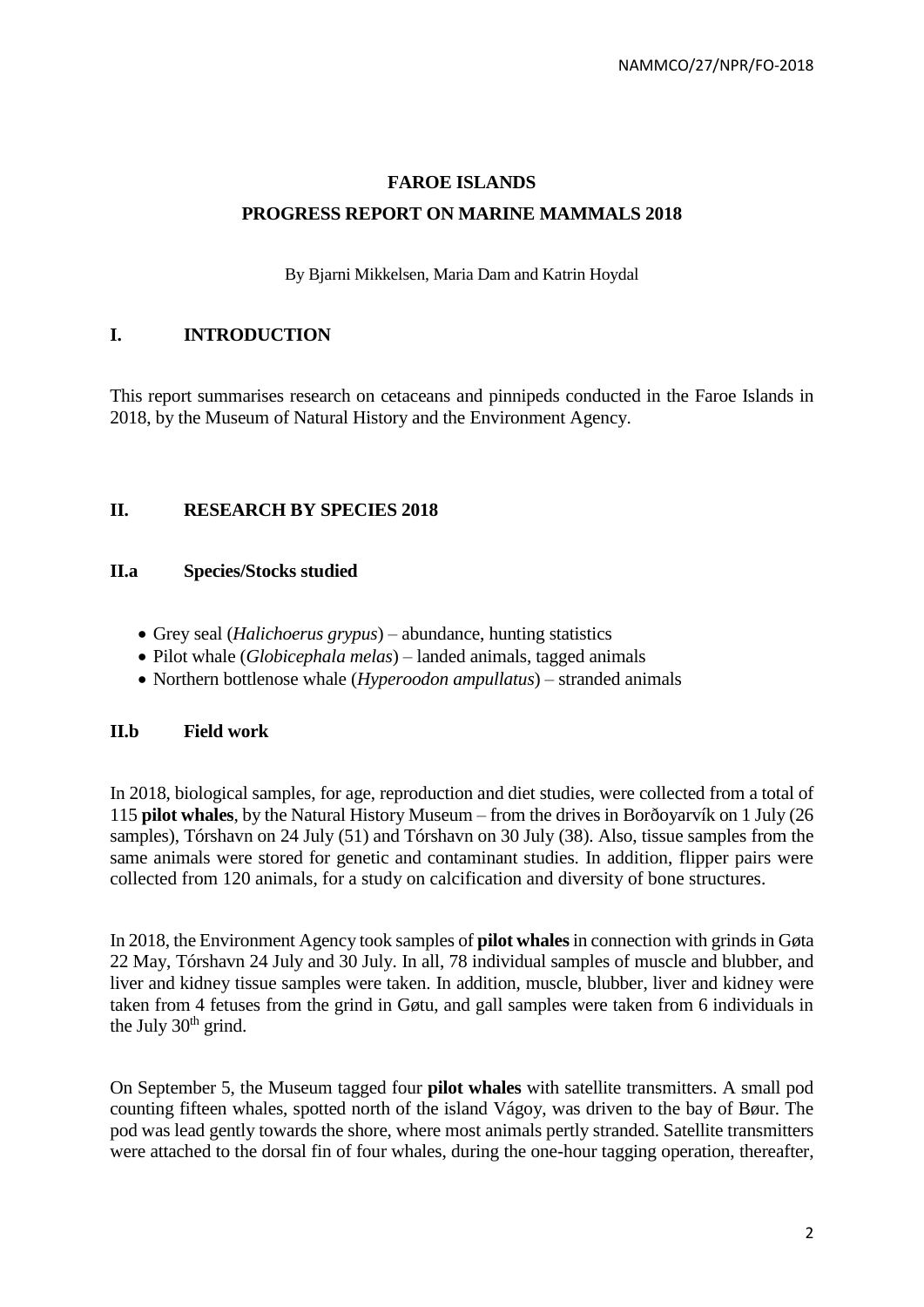# **FAROE ISLANDS PROGRESS REPORT ON MARINE MAMMALS 2018**

By Bjarni Mikkelsen, Maria Dam and Katrin Hoydal

# **I. INTRODUCTION**

This report summarises research on cetaceans and pinnipeds conducted in the Faroe Islands in 2018, by the Museum of Natural History and the Environment Agency.

# **II. RESEARCH BY SPECIES 2018**

### **II.a Species/Stocks studied**

- Grey seal (*Halichoerus grypus*) abundance, hunting statistics
- Pilot whale (*Globicephala melas*) landed animals, tagged animals
- Northern bottlenose whale (*Hyperoodon ampullatus*) stranded animals

#### **II.b Field work**

In 2018, biological samples, for age, reproduction and diet studies, were collected from a total of 115 **pilot whales**, by the Natural History Museum – from the drives in Borðoyarvík on 1 July (26 samples), Tórshavn on 24 July (51) and Tórshavn on 30 July (38). Also, tissue samples from the same animals were stored for genetic and contaminant studies. In addition, flipper pairs were collected from 120 animals, for a study on calcification and diversity of bone structures.

In 2018, the Environment Agency took samples of **pilot whales**in connection with grinds in Gøta 22 May, Tórshavn 24 July and 30 July. In all, 78 individual samples of muscle and blubber, and liver and kidney tissue samples were taken. In addition, muscle, blubber, liver and kidney were taken from 4 fetuses from the grind in Gøtu, and gall samples were taken from 6 individuals in the July  $30<sup>th</sup>$  grind.

On September 5, the Museum tagged four **pilot whales** with satellite transmitters. A small pod counting fifteen whales, spotted north of the island Vágoy, was driven to the bay of Bøur. The pod was lead gently towards the shore, where most animals pertly stranded. Satellite transmitters were attached to the dorsal fin of four whales, during the one-hour tagging operation, thereafter,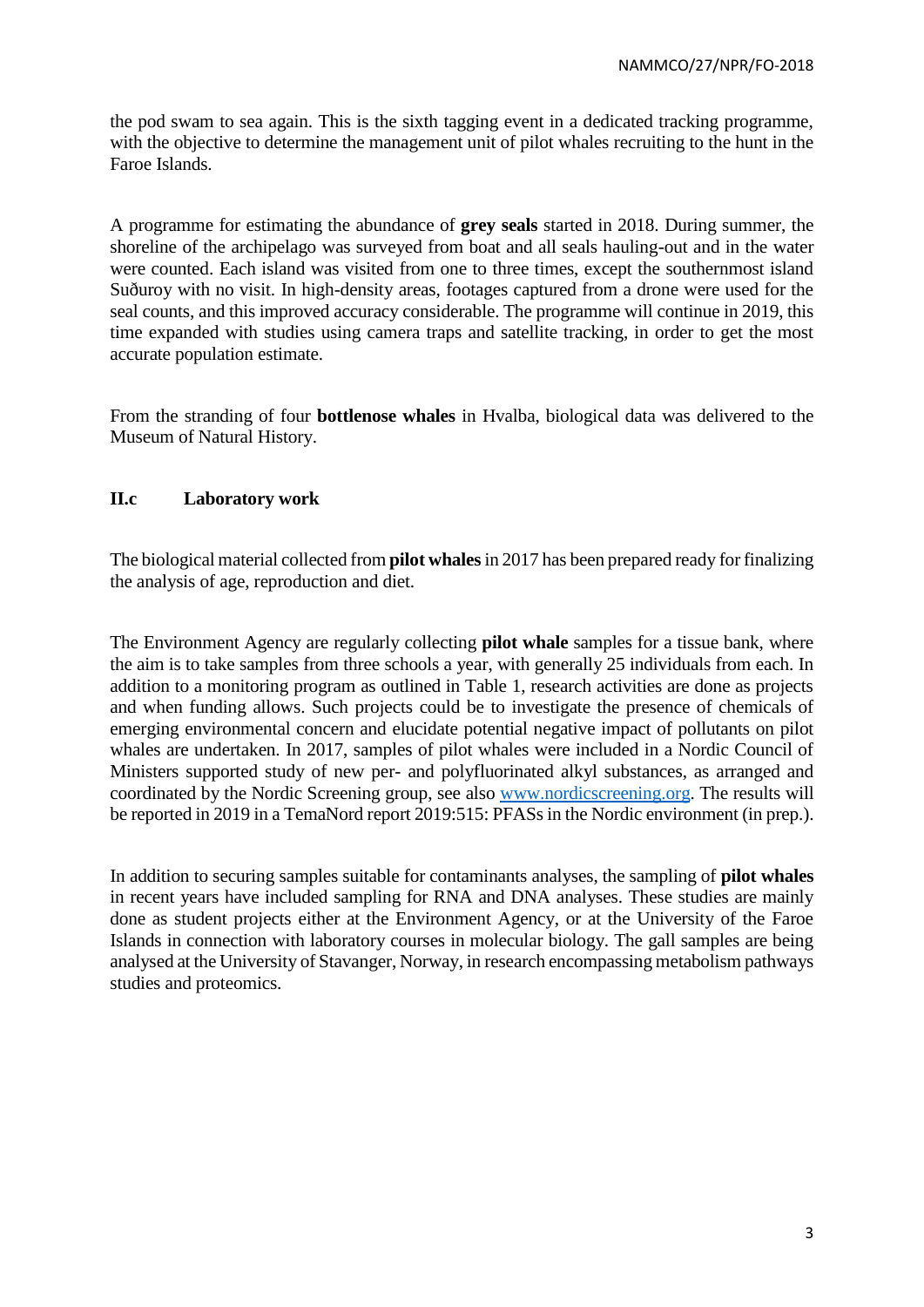the pod swam to sea again. This is the sixth tagging event in a dedicated tracking programme, with the objective to determine the management unit of pilot whales recruiting to the hunt in the Faroe Islands.

A programme for estimating the abundance of **grey seals** started in 2018. During summer, the shoreline of the archipelago was surveyed from boat and all seals hauling-out and in the water were counted. Each island was visited from one to three times, except the southernmost island Suðuroy with no visit. In high-density areas, footages captured from a drone were used for the seal counts, and this improved accuracy considerable. The programme will continue in 2019, this time expanded with studies using camera traps and satellite tracking, in order to get the most accurate population estimate.

From the stranding of four **bottlenose whales** in Hvalba, biological data was delivered to the Museum of Natural History.

# **II.c Laboratory work**

The biological material collected from **pilot whales**in 2017 has been prepared ready for finalizing the analysis of age, reproduction and diet.

The Environment Agency are regularly collecting **pilot whale** samples for a tissue bank, where the aim is to take samples from three schools a year, with generally 25 individuals from each. In addition to a monitoring program as outlined in Table 1, research activities are done as projects and when funding allows. Such projects could be to investigate the presence of chemicals of emerging environmental concern and elucidate potential negative impact of pollutants on pilot whales are undertaken. In 2017, samples of pilot whales were included in a Nordic Council of Ministers supported study of new per- and polyfluorinated alkyl substances, as arranged and coordinated by the Nordic Screening group, see also [www.nordicscreening.org.](http://www.nordicscreening.org/) The results will be reported in 2019 in a TemaNord report 2019:515: PFASs in the Nordic environment (in prep.).

In addition to securing samples suitable for contaminants analyses, the sampling of **pilot whales** in recent years have included sampling for RNA and DNA analyses. These studies are mainly done as student projects either at the Environment Agency, or at the University of the Faroe Islands in connection with laboratory courses in molecular biology. The gall samples are being analysed at the University of Stavanger, Norway, in research encompassing metabolism pathways studies and proteomics.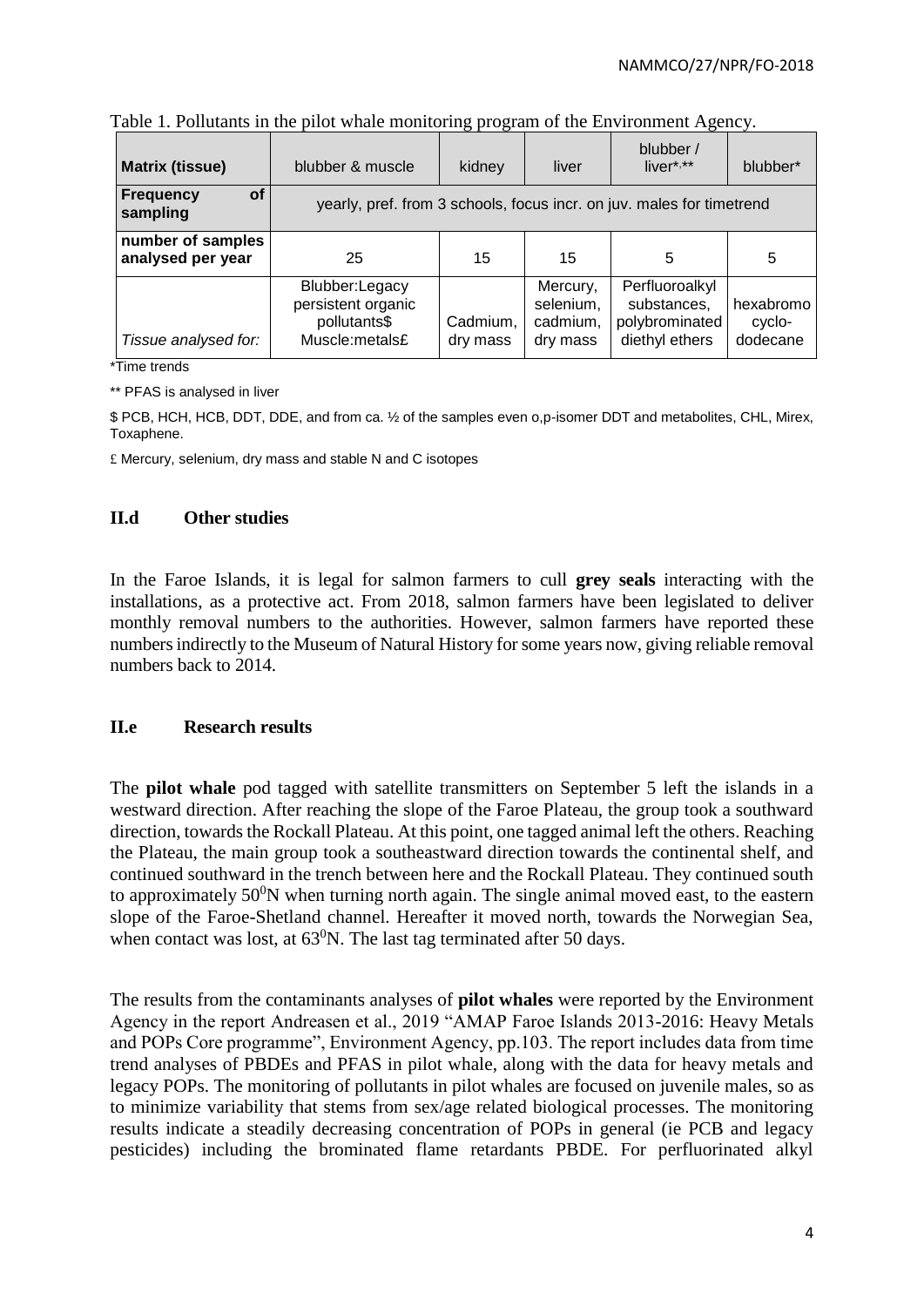| <b>Matrix (tissue)</b><br>blubber & muscle |                                                                        | kidney               | liver                                         | blubber /<br>$liver***$                                           | blubber*                        |
|--------------------------------------------|------------------------------------------------------------------------|----------------------|-----------------------------------------------|-------------------------------------------------------------------|---------------------------------|
| Frequency<br><b>of</b><br>sampling         | yearly, pref. from 3 schools, focus incr. on juv. males for timetrend  |                      |                                               |                                                                   |                                 |
| number of samples<br>analysed per year     | 25                                                                     | 15                   | 15                                            | 5                                                                 | 5                               |
| Tissue analysed for:                       | Blubber:Legacy<br>persistent organic<br>pollutants\$<br>Muscle:metals£ | Cadmium,<br>dry mass | Mercury,<br>selenium,<br>cadmium,<br>dry mass | Perfluoroalkyl<br>substances,<br>polybrominated<br>diethyl ethers | hexabromo<br>cyclo-<br>dodecane |

Table 1. Pollutants in the pilot whale monitoring program of the Environment Agency.

\*Time trends

\*\* PFAS is analysed in liver

\$ PCB, HCH, HCB, DDT, DDE, and from ca. ½ of the samples even o,p-isomer DDT and metabolites, CHL, Mirex, Toxaphene.

£ Mercury, selenium, dry mass and stable N and C isotopes

# **II.d Other studies**

In the Faroe Islands, it is legal for salmon farmers to cull **grey seals** interacting with the installations, as a protective act. From 2018, salmon farmers have been legislated to deliver monthly removal numbers to the authorities. However, salmon farmers have reported these numbers indirectly to the Museum of Natural History for some years now, giving reliable removal numbers back to 2014.

#### **II.e Research results**

The **pilot whale** pod tagged with satellite transmitters on September 5 left the islands in a westward direction. After reaching the slope of the Faroe Plateau, the group took a southward direction, towards the Rockall Plateau. At this point, one tagged animal left the others. Reaching the Plateau, the main group took a southeastward direction towards the continental shelf, and continued southward in the trench between here and the Rockall Plateau. They continued south to approximately  $50^0$ N when turning north again. The single animal moved east, to the eastern slope of the Faroe-Shetland channel. Hereafter it moved north, towards the Norwegian Sea, when contact was lost, at  $63^0$ N. The last tag terminated after 50 days.

The results from the contaminants analyses of **pilot whales** were reported by the Environment Agency in the report Andreasen et al., 2019 "AMAP Faroe Islands 2013-2016: Heavy Metals and POPs Core programme", Environment Agency, pp.103. The report includes data from time trend analyses of PBDEs and PFAS in pilot whale, along with the data for heavy metals and legacy POPs. The monitoring of pollutants in pilot whales are focused on juvenile males, so as to minimize variability that stems from sex/age related biological processes. The monitoring results indicate a steadily decreasing concentration of POPs in general (ie PCB and legacy pesticides) including the brominated flame retardants PBDE. For perfluorinated alkyl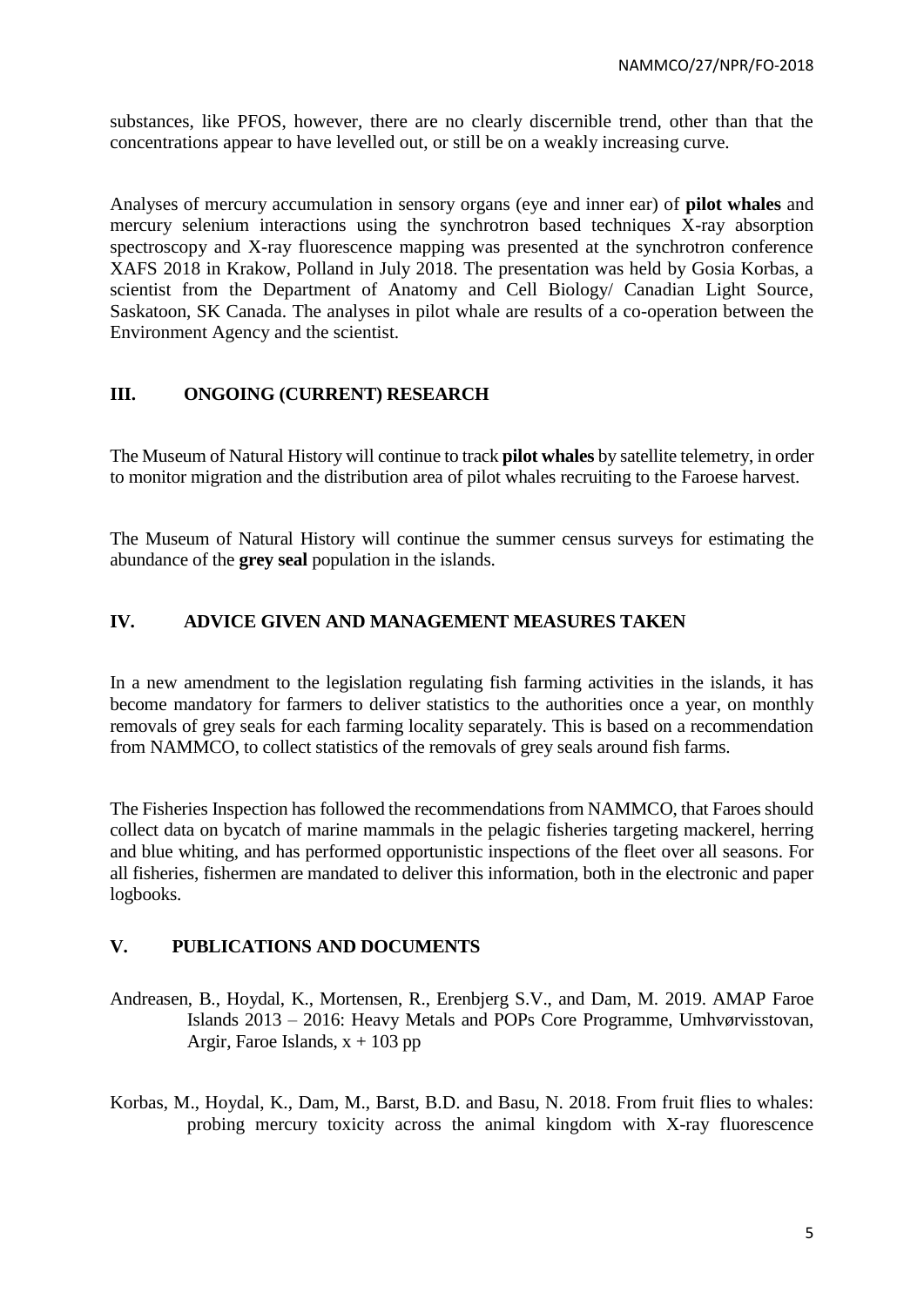substances, like PFOS, however, there are no clearly discernible trend, other than that the concentrations appear to have levelled out, or still be on a weakly increasing curve.

Analyses of mercury accumulation in sensory organs (eye and inner ear) of **pilot whales** and mercury selenium interactions using the synchrotron based techniques X-ray absorption spectroscopy and X-ray fluorescence mapping was presented at the synchrotron conference XAFS 2018 in Krakow, Polland in July 2018. The presentation was held by Gosia Korbas, a scientist from the Department of Anatomy and Cell Biology/ Canadian Light Source, Saskatoon, SK Canada. The analyses in pilot whale are results of a co-operation between the Environment Agency and the scientist.

# **III. ONGOING (CURRENT) RESEARCH**

The Museum of Natural History will continue to track **pilot whales** by satellite telemetry, in order to monitor migration and the distribution area of pilot whales recruiting to the Faroese harvest.

The Museum of Natural History will continue the summer census surveys for estimating the abundance of the **grey seal** population in the islands.

# **IV. ADVICE GIVEN AND MANAGEMENT MEASURES TAKEN**

In a new amendment to the legislation regulating fish farming activities in the islands, it has become mandatory for farmers to deliver statistics to the authorities once a year, on monthly removals of grey seals for each farming locality separately. This is based on a recommendation from NAMMCO, to collect statistics of the removals of grey seals around fish farms.

The Fisheries Inspection has followed the recommendations from NAMMCO, that Faroes should collect data on bycatch of marine mammals in the pelagic fisheries targeting mackerel, herring and blue whiting, and has performed opportunistic inspections of the fleet over all seasons. For all fisheries, fishermen are mandated to deliver this information, both in the electronic and paper logbooks.

#### **V. PUBLICATIONS AND DOCUMENTS**

- Andreasen, B., Hoydal, K., Mortensen, R., Erenbjerg S.V., and Dam, M. 2019. AMAP Faroe Islands 2013 – 2016: Heavy Metals and POPs Core Programme, Umhvørvisstovan, Argir, Faroe Islands,  $x + 103$  pp
- Korbas, M., Hoydal, K., Dam, M., Barst, B.D. and Basu, N. 2018. From fruit flies to whales: probing mercury toxicity across the animal kingdom with X-ray fluorescence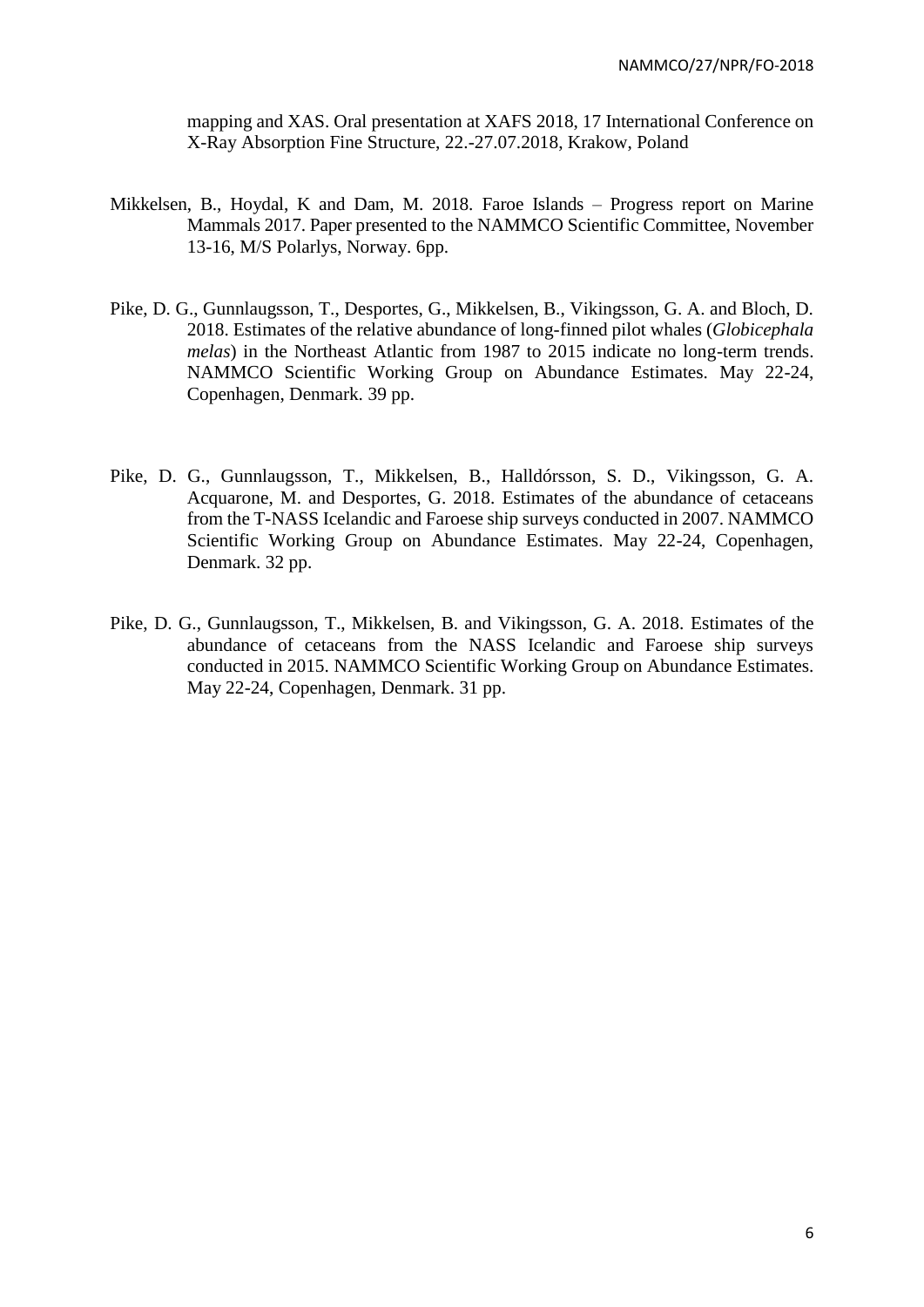mapping and XAS. Oral presentation at XAFS 2018, 17 International Conference on X-Ray Absorption Fine Structure, 22.-27.07.2018, Krakow, Poland

- Mikkelsen, B., Hoydal, K and Dam, M. 2018. Faroe Islands Progress report on Marine Mammals 2017. Paper presented to the NAMMCO Scientific Committee, November 13-16, M/S Polarlys, Norway. 6pp.
- Pike, D. G., Gunnlaugsson, T., Desportes, G., Mikkelsen, B., Vikingsson, G. A. and Bloch, D. 2018. Estimates of the relative abundance of long-finned pilot whales (*Globicephala melas*) in the Northeast Atlantic from 1987 to 2015 indicate no long-term trends. NAMMCO Scientific Working Group on Abundance Estimates. May 22-24, Copenhagen, Denmark. 39 pp.
- Pike, D. G., Gunnlaugsson, T., Mikkelsen, B., Halldórsson, S. D., Vikingsson, G. A. Acquarone, M. and Desportes, G. 2018. Estimates of the abundance of cetaceans from the T-NASS Icelandic and Faroese ship surveys conducted in 2007. NAMMCO Scientific Working Group on Abundance Estimates. May 22-24, Copenhagen, Denmark. 32 pp.
- Pike, D. G., Gunnlaugsson, T., Mikkelsen, B. and Vikingsson, G. A. 2018. Estimates of the abundance of cetaceans from the NASS Icelandic and Faroese ship surveys conducted in 2015. NAMMCO Scientific Working Group on Abundance Estimates. May 22-24, Copenhagen, Denmark. 31 pp.